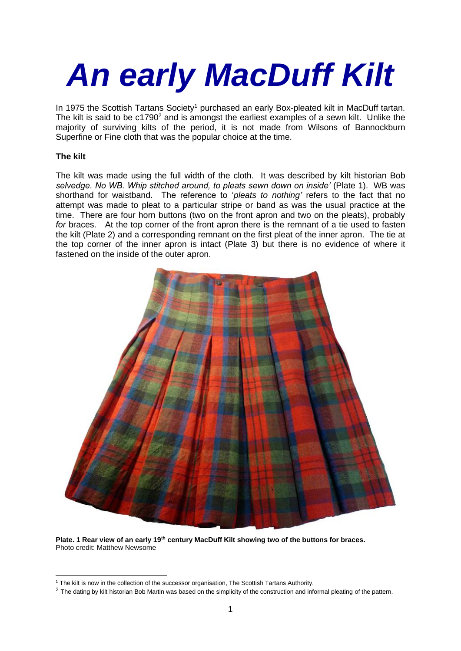# *An early MacDuff Kilt*

In 1975 the Scottish Tartans Society<sup>1</sup> purchased an early Box-pleated kilt in MacDuff tartan. The kilt is said to be  $c1790<sup>2</sup>$  and is amongst the earliest examples of a sewn kilt. Unlike the majority of surviving kilts of the period, it is not made from Wilsons of Bannockburn Superfine or Fine cloth that was the popular choice at the time.

## **The kilt**

The kilt was made using the full width of the cloth. It was described by kilt historian Bob *selvedge. No WB. Whip stitched around, to pleats sewn down on inside'* (Plate 1). WB was shorthand for waistband. The reference to '*pleats to nothing'* refers to the fact that no attempt was made to pleat to a particular stripe or band as was the usual practice at the time. There are four horn buttons (two on the front apron and two on the pleats), probably *for* braces. At the top corner of the front apron there is the remnant of a tie used to fasten the kilt (Plate 2) and a corresponding remnant on the first pleat of the inner apron. The tie at the top corner of the inner apron is intact (Plate 3) but there is no evidence of where it fastened on the inside of the outer apron.



**Plate. 1 Rear view of an early 19th century MacDuff Kilt showing two of the buttons for braces.** Photo credit: Matthew Newsome

<sup>1</sup> The kilt is now in the collection of the successor organisation, The Scottish Tartans Authority.

 $2$  The dating by kilt historian Bob Martin was based on the simplicity of the construction and informal pleating of the pattern.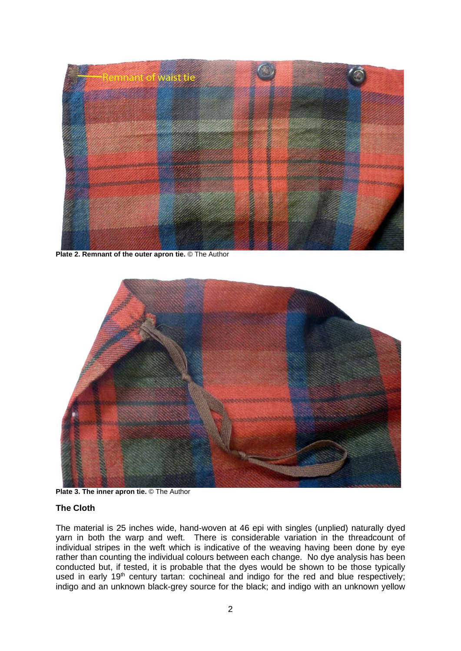

**Plate 2. Remnant of the outer apron tie.** © The Author



**Plate 3. The inner apron tie.** © The Author

#### **The Cloth**

The material is 25 inches wide, hand-woven at 46 epi with singles (unplied) naturally dyed yarn in both the warp and weft. There is considerable variation in the threadcount of individual stripes in the weft which is indicative of the weaving having been done by eye rather than counting the individual colours between each change. No dye analysis has been conducted but, if tested, it is probable that the dyes would be shown to be those typically used in early 19<sup>th</sup> century tartan: cochineal and indigo for the red and blue respectively; indigo and an unknown black-grey source for the black; and indigo with an unknown yellow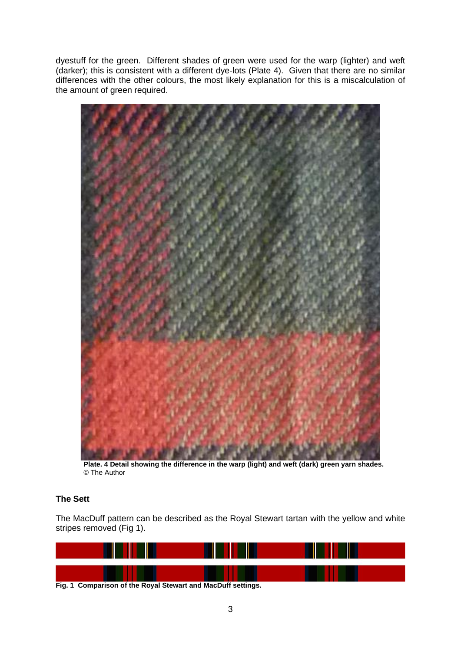dyestuff for the green. Different shades of green were used for the warp (lighter) and weft (darker); this is consistent with a different dye-lots (Plate 4). Given that there are no similar differences with the other colours, the most likely explanation for this is a miscalculation of the amount of green required.



**Plate. 4 Detail showing the difference in the warp (light) and weft (dark) green yarn shades.**  © The Author

# **The Sett**

The MacDuff pattern can be described as the Royal Stewart tartan with the yellow and white stripes removed (Fig 1).



**Fig. 1 Comparison of the Royal Stewart and MacDuff settings.**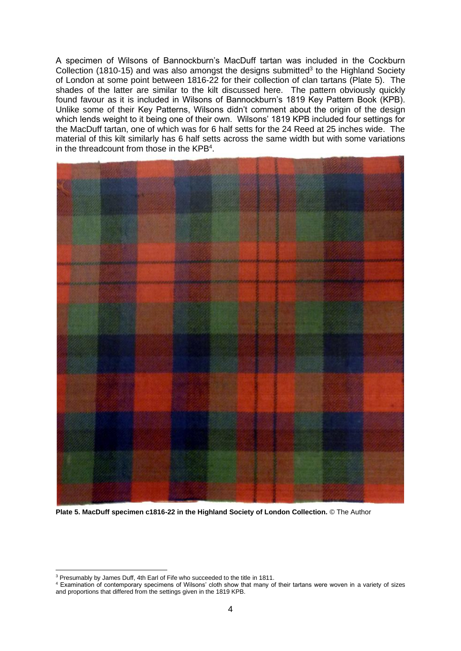A specimen of Wilsons of Bannockburn's MacDuff tartan was included in the Cockburn Collection (1810-15) and was also amongst the designs submitted<sup>3</sup> to the Highland Society of London at some point between 1816-22 for their collection of clan tartans (Plate 5). The shades of the latter are similar to the kilt discussed here. The pattern obviously quickly found favour as it is included in Wilsons of Bannockburn's 1819 Key Pattern Book (KPB). Unlike some of their Key Patterns, Wilsons didn't comment about the origin of the design which lends weight to it being one of their own. Wilsons' 1819 KPB included four settings for the MacDuff tartan, one of which was for 6 half setts for the 24 Reed at 25 inches wide. The material of this kilt similarly has 6 half setts across the same width but with some variations in the threadcount from those in the KPB<sup>4</sup>.



**Plate 5. MacDuff specimen c1816-22 in the Highland Society of London Collection.** © The Author

<sup>&</sup>lt;sup>3</sup> Presumably by James Duff, 4th Earl of Fife who succeeded to the title in 1811.

<sup>4</sup> Examination of contemporary specimens of Wilsons' cloth show that many of their tartans were woven in a variety of sizes and proportions that differed from the settings given in the 1819 KPB.